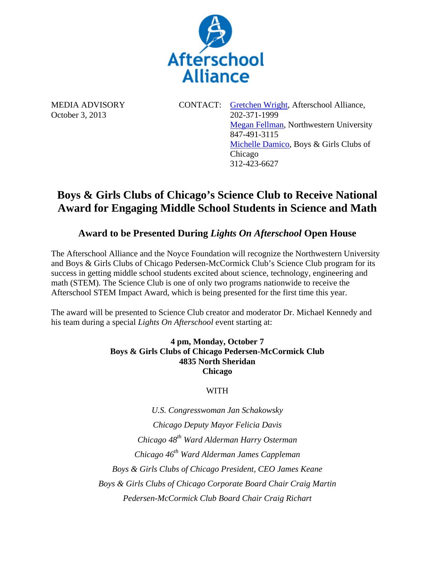

MEDIA ADVISORY CONTACT: Gretchen Wright, Afterschool Alliance, October 3, 2013 202-371-1999 **Megan Fellman, Northwestern University** 847-491-3115 Michelle Damico, Boys & Girls Clubs of Chicago 312-423-6627

# **Boys & Girls Clubs of Chicago's Science Club to Receive National Award for Engaging Middle School Students in Science and Math**

## **Award to be Presented During** *Lights On Afterschool* **Open House**

The Afterschool Alliance and the Noyce Foundation will recognize the Northwestern University and Boys & Girls Clubs of Chicago Pedersen-McCormick Club's Science Club program for its success in getting middle school students excited about science, technology, engineering and math (STEM). The Science Club is one of only two programs nationwide to receive the Afterschool STEM Impact Award, which is being presented for the first time this year.

The award will be presented to Science Club creator and moderator Dr. Michael Kennedy and his team during a special *Lights On Afterschool* event starting at:

#### **4 pm, Monday, October 7 Boys & Girls Clubs of Chicago Pedersen-McCormick Club 4835 North Sheridan Chicago**

### WITH

*U.S. Congresswoman Jan Schakowsky Chicago Deputy Mayor Felicia Davis Chicago 48th Ward Alderman Harry Osterman Chicago 46th Ward Alderman James Cappleman Boys & Girls Clubs of Chicago President, CEO James Keane Boys & Girls Clubs of Chicago Corporate Board Chair Craig Martin Pedersen-McCormick Club Board Chair Craig Richart*